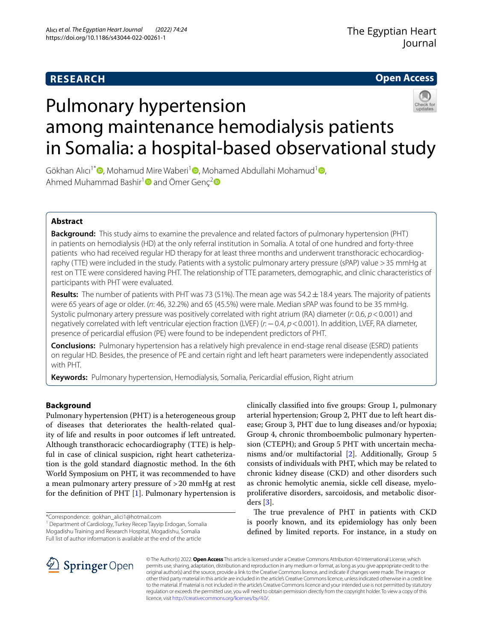## **RESEARCH**

**Open Access**

# Pulmonary hypertension among maintenance hemodialysis patients in Somalia: a hospital-based observational study

Gökhan Alıcı<sup>1[\\*](http://orcid.org/0000-0002-4589-7566)</sup>  $\bullet$ [,](http://orcid.org/0000-0002-7270-0941) Mohamud Mire Waberi<sup>1</sup>  $\bullet$ , Mohamed Abdullahi Mohamud<sup>1</sup>  $\bullet$ , Ahmed Muhammad Bashir<sup>[1](http://orcid.org/0000-0002-7992-506X)</sup> and Ömer Genç<sup>[2](http://orcid.org/0000-0002-9097-5391)</sup>

## **Abstract**

**Background:** This study aims to examine the prevalence and related factors of pulmonary hypertension (PHT) in patients on hemodialysis (HD) at the only referral institution in Somalia. A total of one hundred and forty-three patients who had received regular HD therapy for at least three months and underwent transthoracic echocardiography (TTE) were included in the study. Patients with a systolic pulmonary artery pressure (sPAP) value >35 mmHg at rest on TTE were considered having PHT. The relationship of TTE parameters, demographic, and clinic characteristics of participants with PHT were evaluated.

**Results:** The number of patients with PHT was 73 (51%). The mean age was 54.2±18.4 years. The majority of patients were 65 years of age or older. (*n*: 46, 32.2%) and 65 (45.5%) were male. Median sPAP was found to be 35 mmHg. Systolic pulmonary artery pressure was positively correlated with right atrium (RA) diameter (*r*: 0.6, *p*<0.001) and negatively correlated with left ventricular ejection fraction (LVEF) (*r*:−0.4, *p*<0.001). In addition, LVEF, RA diameter, presence of pericardial efusion (PE) were found to be independent predictors of PHT.

**Conclusions:** Pulmonary hypertension has a relatively high prevalence in end-stage renal disease (ESRD) patients on regular HD. Besides, the presence of PE and certain right and left heart parameters were independently associated with PHT.

**Keywords:** Pulmonary hypertension, Hemodialysis, Somalia, Pericardial effusion, Right atrium

## **Background**

Pulmonary hypertension (PHT) is a heterogeneous group of diseases that deteriorates the health-related quality of life and results in poor outcomes if left untreated. Although transthoracic echocardiography (TTE) is helpful in case of clinical suspicion, right heart catheterization is the gold standard diagnostic method. In the 6th World Symposium on PHT, it was recommended to have a mean pulmonary artery pressure of >20 mmHg at rest for the defnition of PHT [\[1](#page-5-0)]. Pulmonary hypertension is

<sup>1</sup> Department of Cardiology, Turkey Recep Tayyip Erdogan, Somalia Mogadishu Training and Research Hospital, Mogadishu, Somalia Full list of author information is available at the end of the article

clinically classifed into fve groups: Group 1, pulmonary arterial hypertension; Group 2, PHT due to left heart disease; Group 3, PHT due to lung diseases and/or hypoxia; Group 4, chronic thromboembolic pulmonary hypertension (CTEPH); and Group 5 PHT with uncertain mechanisms and/or multifactorial [[2\]](#page-5-1). Additionally, Group 5 consists of individuals with PHT, which may be related to chronic kidney disease (CKD) and other disorders such as chronic hemolytic anemia, sickle cell disease, myeloproliferative disorders, sarcoidosis, and metabolic disorders [[3](#page-5-2)].

The true prevalence of PHT in patients with CKD is poorly known, and its epidemiology has only been defned by limited reports. For instance, in a study on



© The Author(s) 2022. **Open Access** This article is licensed under a Creative Commons Attribution 4.0 International License, which permits use, sharing, adaptation, distribution and reproduction in any medium or format, as long as you give appropriate credit to the original author(s) and the source, provide a link to the Creative Commons licence, and indicate if changes were made. The images or other third party material in this article are included in the article's Creative Commons licence, unless indicated otherwise in a credit line to the material. If material is not included in the article's Creative Commons licence and your intended use is not permitted by statutory regulation or exceeds the permitted use, you will need to obtain permission directly from the copyright holder. To view a copy of this licence, visit [http://creativecommons.org/licenses/by/4.0/.](http://creativecommons.org/licenses/by/4.0/)

<sup>\*</sup>Correspondence: gokhan\_alici1@hotmail.com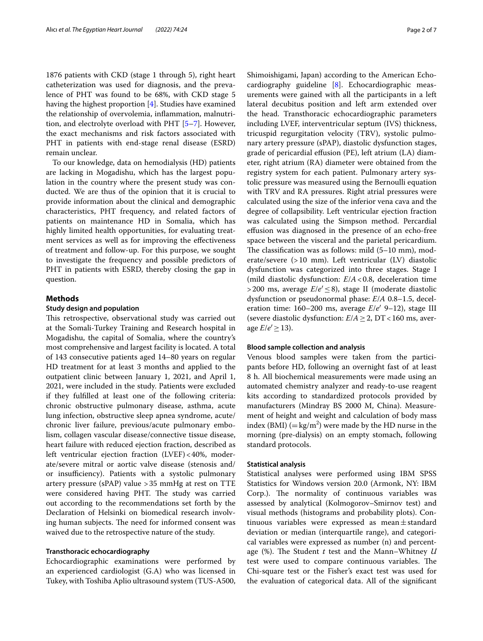1876 patients with CKD (stage 1 through 5), right heart catheterization was used for diagnosis, and the prevalence of PHT was found to be 68%, with CKD stage 5 having the highest proportion [[4\]](#page-5-3). Studies have examined the relationship of overvolemia, infammation, malnutrition, and electrolyte overload with PHT [[5–](#page-5-4)[7\]](#page-5-5). However, the exact mechanisms and risk factors associated with PHT in patients with end-stage renal disease (ESRD) remain unclear.

To our knowledge, data on hemodialysis (HD) patients are lacking in Mogadishu, which has the largest population in the country where the present study was conducted. We are thus of the opinion that it is crucial to provide information about the clinical and demographic characteristics, PHT frequency, and related factors of patients on maintenance HD in Somalia, which has highly limited health opportunities, for evaluating treatment services as well as for improving the efectiveness of treatment and follow-up. For this purpose, we sought to investigate the frequency and possible predictors of PHT in patients with ESRD, thereby closing the gap in question.

#### **Methods**

#### **Study design and population**

This retrospective, observational study was carried out at the Somali-Turkey Training and Research hospital in Mogadishu, the capital of Somalia, where the country's most comprehensive and largest facility is located. A total of 143 consecutive patients aged 14–80 years on regular HD treatment for at least 3 months and applied to the outpatient clinic between January 1, 2021, and April 1, 2021, were included in the study. Patients were excluded if they fulflled at least one of the following criteria: chronic obstructive pulmonary disease, asthma, acute lung infection, obstructive sleep apnea syndrome, acute/ chronic liver failure, previous/acute pulmonary embolism, collagen vascular disease/connective tissue disease, heart failure with reduced ejection fraction, described as left ventricular ejection fraction (LVEF)<40%, moderate/severe mitral or aortic valve disease (stenosis and/ or insufficiency). Patients with a systolic pulmonary artery pressure (sPAP) value >35 mmHg at rest on TTE were considered having PHT. The study was carried out according to the recommendations set forth by the Declaration of Helsinki on biomedical research involving human subjects. The need for informed consent was waived due to the retrospective nature of the study.

## **Transthoracic echocardiography**

Echocardiographic examinations were performed by an experienced cardiologist (G.A) who was licensed in Tukey, with Toshiba Aplio ultrasound system (TUS-A500, Shimoishigami, Japan) according to the American Echocardiography guideline [[8\]](#page-5-6). Echocardiographic measurements were gained with all the participants in a left lateral decubitus position and left arm extended over the head. Transthoracic echocardiographic parameters including LVEF, interventricular septum (IVS) thickness, tricuspid regurgitation velocity (TRV), systolic pulmonary artery pressure (sPAP), diastolic dysfunction stages, grade of pericardial efusion (PE), left atrium (LA) diameter, right atrium (RA) diameter were obtained from the registry system for each patient. Pulmonary artery systolic pressure was measured using the Bernoulli equation with TRV and RA pressures. Right atrial pressures were calculated using the size of the inferior vena cava and the degree of collapsibility. Left ventricular ejection fraction was calculated using the Simpson method. Percardial efusion was diagnosed in the presence of an echo-free space between the visceral and the parietal pericardium. The classification was as follows: mild  $(5-10 \text{ mm})$ , moderate/severe (>10 mm). Left ventricular (LV) diastolic dysfunction was categorized into three stages. Stage I (mild diastolic dysfunction: *E*/*A*<0.8, deceleration time >200 ms, average *E*/*e*′≤8), stage II (moderate diastolic dysfunction or pseudonormal phase: *E*/*A* 0.8–1.5, deceleration time: 160–200 ms, average *E*/*e*′ 9–12), stage III (severe diastolic dysfunction:  $E/A \geq 2$ , DT < 160 ms, average  $E/e' \ge 13$ ).

#### **Blood sample collection and analysis**

Venous blood samples were taken from the participants before HD, following an overnight fast of at least 8 h. All biochemical measurements were made using an automated chemistry analyzer and ready-to-use reagent kits according to standardized protocols provided by manufacturers (Mindray BS 2000 M, China). Measurement of height and weight and calculation of body mass index (BMI)  $(=\text{kg/m}^2)$  were made by the HD nurse in the morning (pre-dialysis) on an empty stomach, following standard protocols.

#### **Statistical analysis**

Statistical analyses were performed using IBM SPSS Statistics for Windows version 20.0 (Armonk, NY: IBM Corp.). The normality of continuous variables was assessed by analytical (Kolmogorov–Smirnov test) and visual methods (histograms and probability plots). Continuous variables were expressed as mean $\pm$ standard deviation or median (interquartile range), and categorical variables were expressed as number (n) and percentage (%). The Student *t* test and the Mann–Whitney *U* test were used to compare continuous variables. The Chi-square test or the Fisher's exact test was used for the evaluation of categorical data. All of the signifcant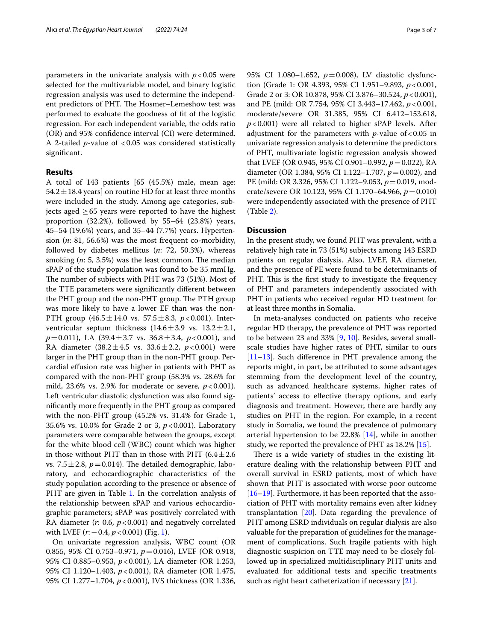parameters in the univariate analysis with  $p < 0.05$  were selected for the multivariable model, and binary logistic regression analysis was used to determine the independent predictors of PHT. The Hosmer–Lemeshow test was performed to evaluate the goodness of ft of the logistic regression. For each independent variable, the odds ratio (OR) and 95% confdence interval (CI) were determined. A 2-tailed *p*-value of <0.05 was considered statistically signifcant.

#### **Results**

A total of 143 patients [65 (45.5%) male, mean age: 54.2  $\pm$  18.4 years] on routine HD for at least three months were included in the study. Among age categories, subjects aged  $\geq 65$  years were reported to have the highest proportion (32.2%), followed by 55–64 (23.8%) years, 45–54 (19.6%) years, and 35–44 (7.7%) years. Hypertension (*n*: 81, 56.6%) was the most frequent co-morbidity, followed by diabetes mellitus (*n*: 72, 50.3%), whereas smoking  $(n: 5, 3.5\%)$  was the least common. The median sPAP of the study population was found to be 35 mmHg. The number of subjects with PHT was 73 (51%). Most of the TTE parameters were signifcantly diferent between the PHT group and the non-PHT group. The PTH group was more likely to have a lower EF than was the non-PTH group (46.5±14.0 vs. 57.5±8.3, *p*<0.001). Interventricular septum thickness  $(14.6 \pm 3.9 \text{ vs. } 13.2 \pm 2.1,$ *p*=0.011), LA (39.4±3.7 vs. 36.8±3.4, *p*<0.001), and RA diameter  $(38.2 \pm 4.5 \text{ vs. } 33.6 \pm 2.2, \ p < 0.001)$  were larger in the PHT group than in the non-PHT group. Percardial efusion rate was higher in patients with PHT as compared with the non-PHT group (58.3% vs. 28.6% for mild, 23.6% vs. 2.9% for moderate or severe,  $p < 0.001$ ). Left ventricular diastolic dysfunction was also found signifcantly more frequently in the PHT group as compared with the non-PHT group (45.2% vs. 31.4% for Grade 1, 35.6% vs. 10.0% for Grade 2 or 3, *p*<0.001). Laboratory parameters were comparable between the groups, except for the white blood cell (WBC) count which was higher in those without PHT than in those with PHT  $(6.4 \pm 2.6$ vs. 7.5 $\pm$ 2.8,  $p$  = 0.014). The detailed demographic, laboratory, and echocardiographic characteristics of the study population according to the presence or absence of PHT are given in Table [1.](#page-3-0) In the correlation analysis of the relationship between sPAP and various echocardiographic parameters; sPAP was positively correlated with RA diameter (*r*: 0.6, *p*<0.001) and negatively correlated with LVEF (*r*: −0.4, *p* < 0.00[1](#page-4-0)) (Fig. 1).

On univariate regression analysis, WBC count (OR 0.855, 95% CI 0.753–0.971, *p*=0.016), LVEF (OR 0.918, 95% CI 0.885–0.953, *p*<0.001), LA diameter (OR 1.253, 95% CI 1.120–1.403, *p*<0.001), RA diameter (OR 1.475, 95% CI 1.277–1.704, *p*<0.001), IVS thickness (OR 1.336,

95% CI 1.080–1.652, *p*=0.008), LV diastolic dysfunction (Grade 1: OR 4.393, 95% CI 1.951–9.893, *p*<0.001, Grade 2 or 3: OR 10.878, 95% CI 3.876–30.524, *p*<0.001), and PE (mild: OR 7.754, 95% CI 3.443–17.462, *p*<0.001, moderate/severe OR 31.385, 95% CI 6.412–153.618, *p*<0.001) were all related to higher sPAP levels. After adjustment for the parameters with  $p$ -value of <0.05 in univariate regression analysis to determine the predictors of PHT, multivariate logistic regression analysis showed that LVEF (OR 0.945, 95% CI 0.901–0.992, *p*=0.022), RA diameter (OR 1.384, 95% CI 1.122–1.707, *p*=0.002), and PE (mild: OR 3.326, 95% CI 1.122–9.053, *p*=0.019, moderate/severe OR 10.123, 95% CI 1.170–64.966, *p*=0.010) were independently associated with the presence of PHT (Table [2\)](#page-4-1).

## **Discussion**

In the present study, we found PHT was prevalent, with a relatively high rate in 73 (51%) subjects among 143 ESRD patients on regular dialysis. Also, LVEF, RA diameter, and the presence of PE were found to be determinants of PHT. This is the first study to investigate the frequency of PHT and parameters independently associated with PHT in patients who received regular HD treatment for at least three months in Somalia.

In meta-analyses conducted on patients who receive regular HD therapy, the prevalence of PHT was reported to be between 23 and 33%  $[9, 10]$  $[9, 10]$  $[9, 10]$  $[9, 10]$  $[9, 10]$ . Besides, several smallscale studies have higher rates of PHT, similar to ours [[11–](#page-5-9)[13\]](#page-5-10). Such diference in PHT prevalence among the reports might, in part, be attributed to some advantages stemming from the development level of the country, such as advanced healthcare systems, higher rates of patients' access to efective therapy options, and early diagnosis and treatment. However, there are hardly any studies on PHT in the region. For example, in a recent study in Somalia, we found the prevalence of pulmonary arterial hypertension to be 22.8% [[14\]](#page-5-11), while in another study, we reported the prevalence of PHT as 18.2% [[15](#page-5-12)].

There is a wide variety of studies in the existing literature dealing with the relationship between PHT and overall survival in ESRD patients, most of which have shown that PHT is associated with worse poor outcome [[16–](#page-5-13)[19\]](#page-5-14). Furthermore, it has been reported that the association of PHT with mortality remains even after kidney transplantation [\[20](#page-6-0)]. Data regarding the prevalence of PHT among ESRD individuals on regular dialysis are also valuable for the preparation of guidelines for the management of complications. Such fragile patients with high diagnostic suspicion on TTE may need to be closely followed up in specialized multidisciplinary PHT units and evaluated for additional tests and specifc treatments such as right heart catheterization if necessary [\[21](#page-6-1)].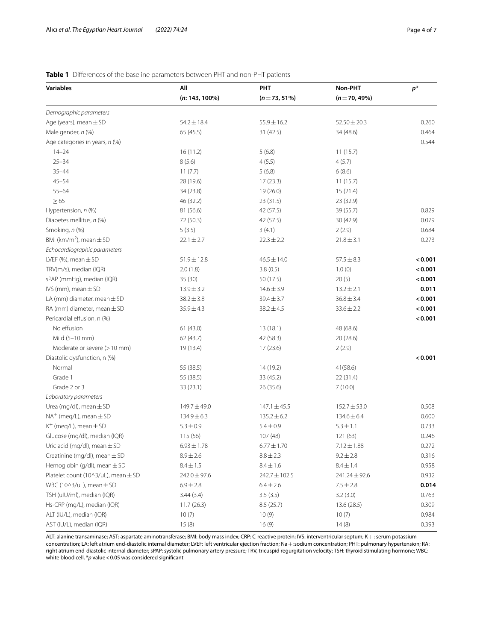## **Variables All PHT Non-PHT** *p***\* (***n***: 143, 100%) (***n*=**73, 51%) (***n*=**70, 49%)** *Demographic parameters* Age (years), mean  $\pm$  SD 54.2 $\pm$ 18.4 55.9 $\pm$ 16.2 52.50 $\pm$ 20.3 52.50 $\pm$ 20.3 52.50 Male gender, *n* (%) **65 (45.5)** 31 (42.5) 31 (42.5) 31 (42.5) 34 (48.6) 34 (48.6) Age categories in years, *n* (%) 0.544 14–24 16 (11.2) 5 (6.8) 11 (15.7)  $25-34$   $8(5.6)$   $4(5.5)$   $4(5.7)$  $35-44$  6 (8.6) 6 (8.6) 45–54 11 (15.7) 28 (19.6) 28 (19.6) 17 (23.3) 11 (15.7) 55–64 19 (21.4) 15 (21.4) 34 (23.8) 19 (26.0) 19 (26.0)  $\geq$  65 23 (32.9) 46 (32.2) 23 (31.5) 23 (32.9) Hypertension, *n* (%) 81 (56.6) 42 (57.5) 39 (55.7) 0.829 Diabetes mellitus, *n* (%) **72** (50.3) 42 (57.5) 30 (42.9) 30 (42.9) 30 (42.9) Smoking, *n* (%) **5 (3.5)** 5 (3.5) 3 (4.1) 2 (2.9) 3 (4.1) 3 (4.1) 3 (4.1) 3 (4.1) 3 (3.5) 4 (5.684 BMI ( $km/m<sup>2</sup>$ ), mean  $\pm$  SD ), mean±SD 22.1±2.7 22.3±2.2 21.8±3.1 22.73 *Echocardiographic parameters* LVEF (%), mean±SD 51.9±12.8 46.5±14.0 57.5±8.3 **<0.001** TRV(m/s), median (IQR) 2.0 (1.8) 3.8 (0.5) 1.0 (0) **<0.001** sPAP (mmHg), median (IQR) 35 (30) 35 (30) 50 (17.5) 35 (30) 50 (17.5) 35 (30) 50 mHg), median (IQR) 50 mHg), median (IQR) 50 mHg), median (IQR) 50 mHg), median (IQR) 50 mHg), median (IQR) 50 mHg), median (IQR) 50 mHg (IQR) IVS (mm), mean±SD 13.9±3.2 14.6±3.9 13.2±2.1 **0.011** LA (mm) diameter, mean±SD 38.2±3.8 39.4±3.7 36.8±3.4 **<0.001** RA (mm) diameter, mean±SD 35.9±4.3 38.2±4.5 33.6±2.2 **<0.001** Pericardial efusion, n (%) **<0.001** No effusion 13 (18.1) 13 (18.1) 13 (18.1) 13 (18.1) 13 (18.1) Mild (5–10 mm) 62 (43.7) 42 (58.3) 20 (28.6) Moderate or severe (>10 mm) 19 (13.4) 19 (23.6) 17 (23.6) 2 (2.9) Diastolic dysfunction, n (%) **<0.001** Normal 31 (58.6) 14 (19.2) 14 (19.2) 41(58.6) Grade 1 **55 (38.5)** 33 (45.2) 33 (45.2) 33 (45.2) 33 (45.2) 33 (45.2) 33 (45.2) 33 (45.2) 33 (45.2) 33 (45.2) 33 (45.2) Grade 2 or 3 33 (23.1) 26 (35.6) 33 (23.1) 26 (35.6) 7 (10.0) *Laboratory parameters* Urea (mg/dl), mean±SD 149.7±49.0 149.7±49.0 147.1±45.5 152.7±53.0 0.508 152.7±53.0  $NA^+$  (meq/L), mean  $\pm$  SD 134.9±6.3 135.2±6.2 134.6±6.4 0.600<br>  $K^+$  (meq/l), mean  $\pm$  SD 5.3+0.9 5.3+0.9 5.4+0.9 5.3+1.1 0.733  $K^+$  (meq/L), mean  $\pm$  SD Glucose (mg/dl), median (IQR) 115 (56) 107 (48) 121 (63) 122 (63) 0.246 Uric acid (mg/dl), mean $\pm$ SD 6.93 $\pm$ 1.78 6.77 $\pm$ 1.70 7.12 $\pm$ 1.88 0.272<br>Creatinine (mg/dl), mean $\pm$ SD 8.9 $\pm$ 2.6 8.8 $\pm$ 2.3 9.2 $\pm$ 2.8 9.316  $C$ reatinine (mg/dl), mean $\pm$ SD 8.9 $\pm$ 2.6 8.8 $\pm$ 2.3 9.2 $\pm$ 2.8  $H$ emoglobin (g/dl), mean $\pm$ SD 8.4 $\pm$ 1.5 8.4 $\pm$ 1.6 8.4 $\pm$ 1.6 8.4 $\pm$ 1.4 8.958 Platelet count (10^3/uL), mean±SD 242.0±97.6 242.7±102.5 241.24±92.6 0.932 WBC (10^3/uL), mean ± SD 6.9 ± 2.8 6.9 ± 2.8 6.4 ± 2.6 7.5 ± 2.8 **0.014**<br>
TSH (ulU/ml), median (IQR) 3.44 (3.4) 3.5 (3.5) 3.5 (3.5) 3.2 (3.0) 3.2 (3.0) 0.763 TSH (uIU/ml), median (IQR) 3.44 (3.4) 3.44 (3.4) Hs-CRP (mg/L), median (IQR) 11.7 (26.3) 8.5 (25.7) 13.6 (28.5) 0.309 ALT (IU/L), median (IQR) 10 (7) 10 (7) 10 (7) 10 (9) 10 (9) 10 (7) 10 (9) 10 (7) 0.984 AST (IU/L), median (IQR) 15 (8) 15 (8) 16 (9) 16 (9) 14 (8) 16 (9) 14 (8) 16 (9) 16 (9) 16 (9) 16 (9) 16 (9) 16 (9) 16 (9) 16 (9) 16 (9) 16 (9) 16 (9) 16 (9) 16 (9) 16 (9) 16 (9) 16 (9) 16 (9) 16 (9) 16 (9) 16 (9) 16 (9) 1

## <span id="page-3-0"></span>**Table 1** Differences of the baseline parameters between PHT and non-PHT patients

ALT: alanine transaminase; AST: aspartate aminotransferase; BMI: body mass index; CRP: C-reactive protein; IVS: interventricular septum; K+: serum potassium concentration; LA: left atrium end-diastolic internal diameter; LVEF: left ventricular ejection fraction; Na+:sodium concentration; PHT: pulmonary hypertension; RA: right atrium end-diastolic internal diameter; sPAP: systolic pulmonary artery pressure; TRV, tricuspid regurgitation velocity; TSH: thyroid stimulating hormone; WBC: white blood cell. \*p value < 0.05 was considered significant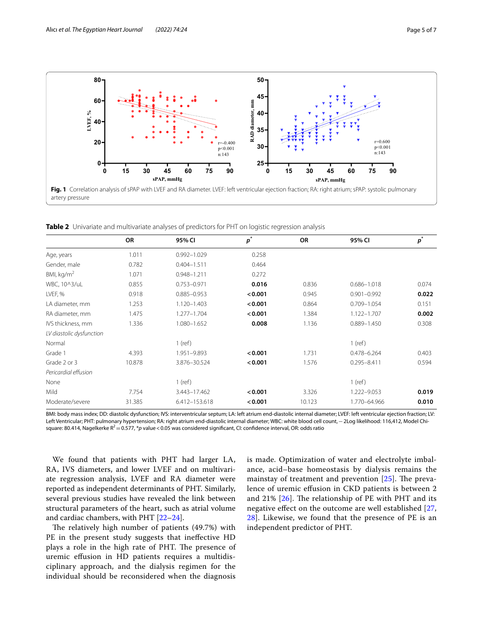

<span id="page-4-1"></span><span id="page-4-0"></span>**Table 2** Univariate and multivariate analyses of predictors for PHT on logistic regression analysis

|                          | OR     | 95% CI          | $\boldsymbol{p}^*$ | <b>OR</b> | 95% CI          | $\boldsymbol{p}^*$ |
|--------------------------|--------|-----------------|--------------------|-----------|-----------------|--------------------|
| Age, years               | 1.011  | $0.992 - 1.029$ | 0.258              |           |                 |                    |
| Gender, male             | 0.782  | $0.404 - 1.511$ | 0.464              |           |                 |                    |
| BMI, $kg/m2$             | 1.071  | 0.948-1.211     | 0.272              |           |                 |                    |
| WBC, 10^3/uL             | 0.855  | 0.753-0.971     | 0.016              | 0.836     | $0.686 - 1.018$ | 0.074              |
| LVEF, %                  | 0.918  | $0.885 - 0.953$ | < 0.001            | 0.945     | $0.901 - 0.992$ | 0.022              |
| LA diameter, mm          | 1.253  | 1.120-1.403     | < 0.001            | 0.864     | $0.709 - 1.054$ | 0.151              |
| RA diameter, mm          | 1.475  | $1.277 - 1.704$ | < 0.001            | 1.384     | 1.122-1.707     | 0.002              |
| IVS thickness, mm        | 1.336  | 1.080-1.652     | 0.008              | 1.136     | 0.889-1.450     | 0.308              |
| LV diastolic dysfunction |        |                 |                    |           |                 |                    |
| Normal                   |        | $1$ (ref)       |                    |           | $1$ (ref)       |                    |
| Grade 1                  | 4.393  | 1.951-9.893     | < 0.001            | 1.731     | 0.478-6.264     | 0.403              |
| Grade 2 or 3             | 10.878 | 3.876-30.524    | < 0.001            | 1.576     | $0.295 - 8.411$ | 0.594              |
| Pericardial effusion     |        |                 |                    |           |                 |                    |
| None                     |        | $1$ (ref)       |                    |           | $1$ (ref)       |                    |
| Mild                     | 7.754  | 3.443-17.462    | < 0.001            | 3.326     | 1.222-9.053     | 0.019              |
| Moderate/severe          | 31.385 | 6.412-153.618   | < 0.001            | 10.123    | 1.770-64.966    | 0.010              |

BMI: body mass index; DD: diastolic dysfunction; IVS: interventricular septum; LA: left atrium end-diastolic internal diameter; LVEF: left ventricular ejection fraction; LV: Left Ventricular; PHT: pulmonary hypertension; RA: right atrium end-diastolic internal diameter; WBC: white blood cell count,−2Log likelihood: 116,412, Model Chisquare: 80.414, Nagelkerke R<sup>2</sup> = 0.577, \**p* value < 0.05 was considered significant, CI: confidence interval, OR: odds ratio

We found that patients with PHT had larger LA, RA, IVS diameters, and lower LVEF and on multivariate regression analysis, LVEF and RA diameter were reported as independent determinants of PHT. Similarly, several previous studies have revealed the link between structural parameters of the heart, such as atrial volume and cardiac chambers, with PHT [\[22](#page-6-2)[–24\]](#page-6-3).

The relatively high number of patients (49.7%) with PE in the present study suggests that inefective HD plays a role in the high rate of PHT. The presence of uremic efusion in HD patients requires a multidisciplinary approach, and the dialysis regimen for the individual should be reconsidered when the diagnosis is made. Optimization of water and electrolyte imbalance, acid–base homeostasis by dialysis remains the mainstay of treatment and prevention  $[25]$  $[25]$ . The prevalence of uremic efusion in CKD patients is between 2 and 21%  $[26]$  $[26]$  $[26]$ . The relationship of PE with PHT and its negative efect on the outcome are well established [\[27](#page-6-6), [28\]](#page-6-7). Likewise, we found that the presence of PE is an independent predictor of PHT.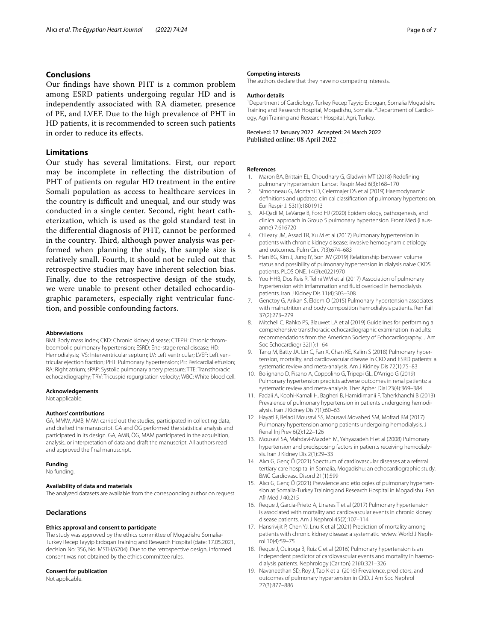## **Conclusions**

Our fndings have shown PHT is a common problem among ESRD patients undergoing regular HD and is independently associated with RA diameter, presence of PE, and LVEF. Due to the high prevalence of PHT in HD patients, it is recommended to screen such patients in order to reduce its efects.

## **Limitations**

Our study has several limitations. First, our report may be incomplete in refecting the distribution of PHT of patients on regular HD treatment in the entire Somali population as access to healthcare services in the country is difficult and unequal, and our study was conducted in a single center. Second, right heart catheterization, which is used as the gold standard test in the diferential diagnosis of PHT, cannot be performed in the country. Third, although power analysis was performed when planning the study, the sample size is relatively small. Fourth, it should not be ruled out that retrospective studies may have inherent selection bias. Finally, due to the retrospective design of the study, we were unable to present other detailed echocardiographic parameters, especially right ventricular function, and possible confounding factors.

#### **Abbreviations**

BMI: Body mass index; CKD: Chronic kidney disease; CTEPH: Chronic thromboembolic pulmonary hypertension; ESRD: End-stage renal disease; HD: Hemodialysis; IVS: Interventricular septum; LV: Left ventricular; LVEF: Left ventricular ejection fraction; PHT: Pulmonary hypertension; PE: Pericardial efusion; RA: Right atrium; sPAP: Systolic pulmonary artery pressure; TTE: Transthoracic echocardiography; TRV: Tricuspid regurgitation velocity; WBC: White blood cell.

#### **Acknowledgements**

Not applicable.

#### **Authors' contributions**

GA, MMW, AMB, MAM carried out the studies, participated in collecting data, and drafted the manuscript. GA and ÖG performed the statistical analysis and participated in its design. GA, AMB, ÖG, MAM participated in the acquisition, analysis, or interpretation of data and draft the manuscript. All authors read and approved the fnal manuscript.

#### **Funding**

No funding.

#### **Availability of data and materials**

The analyzed datasets are available from the corresponding author on request.

#### **Declarations**

#### **Ethics approval and consent to participate**

The study was approved by the ethics committee of Mogadishu Somalia-Turkey Recep Tayyip Erdogan Training and Research Hospital (date: 17.05.2021, decision No: 356, No: MSTH/6204). Due to the retrospective design, informed consent was not obtained by the ethics committee rules.

#### **Consent for publication**

Not applicable.

#### **Competing interests**

The authors declare that they have no competing interests.

#### **Author details**

<sup>1</sup> Department of Cardiology, Turkey Recep Tayyip Erdogan, Somalia Mogadishu Training and Research Hospital, Mogadishu, Somalia. <sup>2</sup> Department of Cardiology, Agri Training and Research Hospital, Agri, Turkey.

## Received: 17 January 2022 Accepted: 24 March 2022

#### **References**

- <span id="page-5-0"></span>1. Maron BA, Brittain EL, Choudhary G, Gladwin MT (2018) Redefning pulmonary hypertension. Lancet Respir Med 6(3):168–170
- <span id="page-5-1"></span>2. Simonneau G, Montani D, Celermajer DS et al (2019) Haemodynamic defnitions and updated clinical classifcation of pulmonary hypertension. Eur Respir J. 53(1):1801913
- <span id="page-5-2"></span>3. Al-Qadi M, LeVarge B, Ford HJ (2020) Epidemiology, pathogenesis, and clinical approach in Group 5 pulmonary hypertension. Front Med (Lausanne) 7:616720
- <span id="page-5-3"></span>4. O'Leary JM, Assad TR, Xu M et al (2017) Pulmonary hypertension in patients with chronic kidney disease: invasive hemodynamic etiology and outcomes. Pulm Circ 7(3):674–683
- <span id="page-5-4"></span>5. Han BG, Kim J, Jung IY, Son JW (2019) Relationship between volume status and possibility of pulmonary hypertension in dialysis naive CKD5 patients. PLOS ONE. 14(9):e0221970
- 6. Yoo HHB, Dos Reis R, Telini WM et al (2017) Association of pulmonary hypertension with infammation and fuid overload in hemodialysis patients. Iran J Kidney Dis 11(4):303–308
- <span id="page-5-5"></span>7. Genctoy G, Arikan S, Eldem O (2015) Pulmonary hypertension associates with malnutrition and body composition hemodialysis patients. Ren Fail 37(2):273–279
- <span id="page-5-6"></span>8. Mitchell C, Rahko PS, Blauwet LA et al (2019) Guidelines for performing a comprehensive transthoracic echocardiographic examination in adults: recommendations from the American Society of Echocardiography. J Am Soc Echocardiogr 32(1):1–64
- <span id="page-5-7"></span>9. Tang M, Batty JA, Lin C, Fan X, Chan KE, Kalim S (2018) Pulmonary hypertension, mortality, and cardiovascular disease in CKD and ESRD patients: a systematic review and meta-analysis. Am J Kidney Dis 72(1):75–83
- <span id="page-5-8"></span>10. Bolignano D, Pisano A, Coppolino G, Tripepi GL, D'Arrigo G (2019) Pulmonary hypertension predicts adverse outcomes in renal patients: a systematic review and meta-analysis. Ther Apher Dial 23(4):369–384
- <span id="page-5-9"></span>11. Fadaii A, Koohi-Kamali H, Bagheri B, Hamidimanii F, Taherkhanchi B (2013) Prevalence of pulmonary hypertension in patients undergoing hemodialysis. Iran J Kidney Dis 7(1):60–63
- 12. Hayati F, Beladi Mousavi SS, Mousavi Movahed SM, Mofrad BM (2017) Pulmonary hypertension among patients undergoing hemodialysis. J Renal Inj Prev 6(2):122–126
- <span id="page-5-10"></span>13. Mousavi SA, Mahdavi-Mazdeh M, Yahyazadeh H et al (2008) Pulmonary hypertension and predisposing factors in patients receiving hemodialysis. Iran J Kidney Dis 2(1):29–33
- <span id="page-5-11"></span>14. Alıcı G, Genç Ö (2021) Spectrum of cardiovascular diseases at a referral tertiary care hospital in Somalia, Mogadishu: an echocardiographic study. BMC Cardiovasc Disord 21(1):599
- <span id="page-5-12"></span>15. Alıcı G, Genç Ö (2021) Prevalence and etiologies of pulmonary hypertension at Somalia-Turkey Training and Research Hospital in Mogadishu. Pan Afr Med J 40:215
- <span id="page-5-13"></span>16. Reque J, Garcia-Prieto A, Linares T et al (2017) Pulmonary hypertension is associated with mortality and cardiovascular events in chronic kidney disease patients. Am J Nephrol 45(2):107–114
- 17. Hansrivijit P, Chen YJ, Lnu K et al (2021) Prediction of mortality among patients with chronic kidney disease: a systematic review. World J Nephrol 10(4):59–75
- 18. Reque J, Quiroga B, Ruiz C et al (2016) Pulmonary hypertension is an independent predictor of cardiovascular events and mortality in haemodialysis patients. Nephrology (Carlton) 21(4):321–326
- <span id="page-5-14"></span>19. Navaneethan SD, Roy J, Tao K et al (2016) Prevalence, predictors, and outcomes of pulmonary hypertension in CKD. J Am Soc Nephrol 27(3):877–886